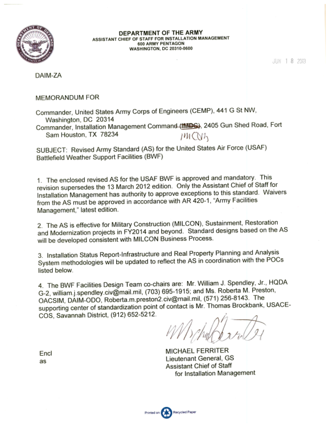

DEPARTMENT OF THE ARMY ASSISTANT CHIEF OF STAFF FOR INSTALLATION MANAGEMENT 600 ARMY PENTAGON WASHINGTON, DC 20310-0600

JUN 1 8 2013

DAIM-ZA

#### MEMORANDUM FOR

Commander, United States Army Corps of Engineers (CEMP), 441 G St NW, Washington, DC 20314 Commander, Installation Management Command (this S), 2405 Gun Shed Road, Fort Sam Houston, TX 78234 7M CV14

SUBJECT: Revised Army Standard (AS) for the United States Air Force (USAF) Battlefield Weather Support Facilities (BWF)

1. The enclosed revised AS for the USAF BWF is approved and mandatory. This revision supersedes the 13 March 2012 edition. Only the Assistant Chief of Staff for Installation Management has authority to approve exceptions to this standard. Waivers from the AS must be approved in accordance with AR 420-1, "Army Facilities Management," latest edition.

2. The AS is effective for Military Construction (MILCON), Sustainment, Restoration and Modernization projects in FY2014 and beyond. Standard designs based on the AS will be developed consistent with MILCON Business Process.

3. Installation Status Report-Infrastructure and Real Property Planning and Analysis System methodologies will be updated to reflect the AS in coordination with the POCs listed below.

4. The BWF Facilities Design Team co-chairs are: Mr. William J. Spendley, Jr., HQDA G-2, william.j.spendley.civ@mail.mil, (703) 695-1915; and Ms. Roberta M. Preston, OACSIM, DAIM-ODO, Roberta m.preston2.civ@mail.mil, (571) 256-8143. The supporting center of standardization point of contact is Mr. Thomas Brockbank, USACE-COS, Savannah District, (912) 652-5212.

MICHAEL FERRITER Lieutenant General, GS Assistant Chief of Staff for Installation Management

Encl as

Printed on Recycled Paper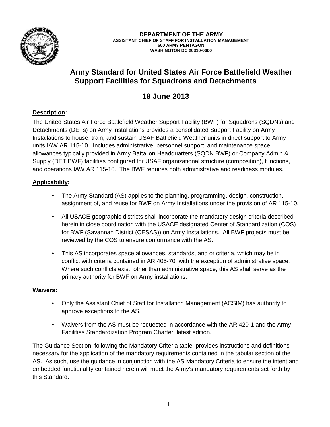

**DEPARTMENT OF THE ARMY ASSISTANT CHIEF OF STAFF FOR INSTALLATION MANAGEMENT 600 ARMY PENTAGON WASHINGTON DC 20310-0600**

# **Army Standard for United States Air Force Battlefield Weather Support Facilities for Squadrons and Detachments**

# **18 June 2013**

## **Description:**

The United States Air Force Battlefield Weather Support Facility (BWF) for Squadrons (SQDNs) and Detachments (DETs) on Army Installations provides a consolidated Support Facility on Army Installations to house, train, and sustain USAF Battlefield Weather units in direct support to Army units IAW AR 115-10. Includes administrative, personnel support, and maintenance space allowances typically provided in Army Battalion Headquarters (SQDN BWF) or Company Admin & Supply (DET BWF) facilities configured for USAF organizational structure (composition), functions, and operations IAW AR 115-10. The BWF requires both administrative and readiness modules.

## **Applicability:**

- The Army Standard (AS) applies to the planning, programming, design, construction, assignment of, and reuse for BWF on Army Installations under the provision of AR 115-10.
- All USACE geographic districts shall incorporate the mandatory design criteria described herein in close coordination with the USACE designated Center of Standardization (COS) for BWF (Savannah District (CESAS)) on Army Installations. All BWF projects must be reviewed by the COS to ensure conformance with the AS.
- This AS incorporates space allowances, standards, and or criteria, which may be in conflict with criteria contained in AR 405-70, with the exception of administrative space. Where such conflicts exist, other than administrative space, this AS shall serve as the primary authority for BWF on Army installations.

### **Waivers:**

- Only the Assistant Chief of Staff for Installation Management (ACSIM) has authority to approve exceptions to the AS.
- Waivers from the AS must be requested in accordance with the AR 420-1 and the Army Facilities Standardization Program Charter, latest edition.

The Guidance Section, following the Mandatory Criteria table, provides instructions and definitions necessary for the application of the mandatory requirements contained in the tabular section of the AS. As such, use the guidance in conjunction with the AS Mandatory Criteria to ensure the intent and embedded functionality contained herein will meet the Army's mandatory requirements set forth by this Standard.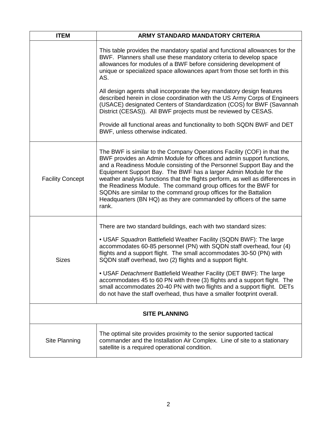| <b>ITEM</b>             | <b>ARMY STANDARD MANDATORY CRITERIA</b>                                                                                                                                                                                                                                                                                                                                                                                                                                                                                                                                                                                                                      |  |
|-------------------------|--------------------------------------------------------------------------------------------------------------------------------------------------------------------------------------------------------------------------------------------------------------------------------------------------------------------------------------------------------------------------------------------------------------------------------------------------------------------------------------------------------------------------------------------------------------------------------------------------------------------------------------------------------------|--|
|                         | This table provides the mandatory spatial and functional allowances for the<br>BWF. Planners shall use these mandatory criteria to develop space<br>allowances for modules of a BWF before considering development of<br>unique or specialized space allowances apart from those set forth in this<br>AS.                                                                                                                                                                                                                                                                                                                                                    |  |
|                         | All design agents shall incorporate the key mandatory design features<br>described herein in close coordination with the US Army Corps of Engineers<br>(USACE) designated Centers of Standardization (COS) for BWF (Savannah<br>District (CESAS)). All BWF projects must be reviewed by CESAS.                                                                                                                                                                                                                                                                                                                                                               |  |
|                         | Provide all functional areas and functionality to both SQDN BWF and DET<br>BWF, unless otherwise indicated.                                                                                                                                                                                                                                                                                                                                                                                                                                                                                                                                                  |  |
| <b>Facility Concept</b> | The BWF is similar to the Company Operations Facility (COF) in that the<br>BWF provides an Admin Module for offices and admin support functions,<br>and a Readiness Module consisting of the Personnel Support Bay and the<br>Equipment Support Bay. The BWF has a larger Admin Module for the<br>weather analysis functions that the flights perform, as well as differences in<br>the Readiness Module. The command group offices for the BWF for<br>SQDNs are similar to the command group offices for the Battalion<br>Headquarters (BN HQ) as they are commanded by officers of the same<br>rank.                                                       |  |
| <b>Sizes</b>            | There are two standard buildings, each with two standard sizes:<br>• USAF Squadron Battlefield Weather Facility (SQDN BWF): The large<br>accommodates 60-85 personnel (PN) with SQDN staff overhead, four (4)<br>flights and a support flight. The small accommodates 30-50 (PN) with<br>SQDN staff overhead, two (2) flights and a support flight.<br>• USAF Detachment Battlefield Weather Facility (DET BWF): The large<br>accommodates 45 to 60 PN with three (3) flights and a support flight. The<br>small accommodates 20-40 PN with two flights and a support flight. DETs<br>do not have the staff overhead, thus have a smaller footprint overall. |  |
| <b>SITE PLANNING</b>    |                                                                                                                                                                                                                                                                                                                                                                                                                                                                                                                                                                                                                                                              |  |
| Site Planning           | The optimal site provides proximity to the senior supported tactical<br>commander and the Installation Air Complex. Line of site to a stationary<br>satellite is a required operational condition.                                                                                                                                                                                                                                                                                                                                                                                                                                                           |  |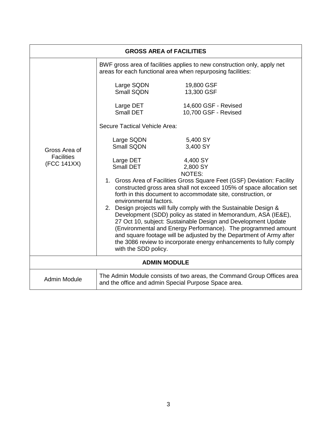| <b>GROSS AREA of FACILITIES</b>                   |                               |                                                                                                                                                                                                                                                                       |  |  |
|---------------------------------------------------|-------------------------------|-----------------------------------------------------------------------------------------------------------------------------------------------------------------------------------------------------------------------------------------------------------------------|--|--|
|                                                   |                               | BWF gross area of facilities applies to new construction only, apply net<br>areas for each functional area when repurposing facilities:                                                                                                                               |  |  |
| Gross Area of<br><b>Facilities</b><br>(FCC 141XX) | Large SQDN<br>Small SQDN      | 19,800 GSF<br>13,300 GSF                                                                                                                                                                                                                                              |  |  |
|                                                   | Large DET<br>Small DET        | 14,600 GSF - Revised<br>10,700 GSF - Revised                                                                                                                                                                                                                          |  |  |
|                                                   | Secure Tactical Vehicle Area: |                                                                                                                                                                                                                                                                       |  |  |
|                                                   | Large SQDN<br>Small SQDN      | 5,400 SY<br>3,400 SY                                                                                                                                                                                                                                                  |  |  |
|                                                   | Large DET<br>Small DET        | 4,400 SY<br>2,800 SY<br>NOTES:                                                                                                                                                                                                                                        |  |  |
|                                                   | environmental factors.        | 1. Gross Area of Facilities Gross Square Feet (GSF) Deviation: Facility<br>constructed gross area shall not exceed 105% of space allocation set<br>forth in this document to accommodate site, construction, or                                                       |  |  |
|                                                   |                               | 2. Design projects will fully comply with the Sustainable Design &<br>Development (SDD) policy as stated in Memorandum, ASA (IE&E),<br>27 Oct 10, subject: Sustainable Design and Development Update<br>(Environmental and Energy Performance). The programmed amount |  |  |
|                                                   | with the SDD policy.          | and square footage will be adjusted by the Department of Army after<br>the 3086 review to incorporate energy enhancements to fully comply                                                                                                                             |  |  |
| <b>ADMIN MODULE</b>                               |                               |                                                                                                                                                                                                                                                                       |  |  |
| <b>Admin Module</b>                               |                               | The Admin Module consists of two areas, the Command Group Offices area<br>and the office and admin Special Purpose Space area.                                                                                                                                        |  |  |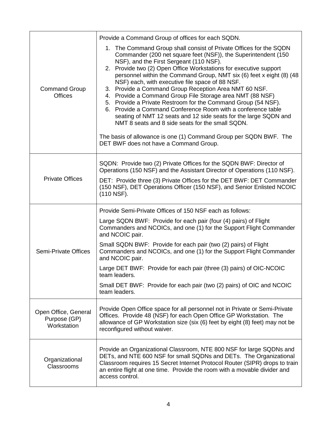|                                                     | Provide a Command Group of offices for each SQDN.                                                                                                                                                                                                                                                                                                                                                                                                                                                                                                                                                                                                                                                                                                                                                                                                                             |  |
|-----------------------------------------------------|-------------------------------------------------------------------------------------------------------------------------------------------------------------------------------------------------------------------------------------------------------------------------------------------------------------------------------------------------------------------------------------------------------------------------------------------------------------------------------------------------------------------------------------------------------------------------------------------------------------------------------------------------------------------------------------------------------------------------------------------------------------------------------------------------------------------------------------------------------------------------------|--|
| <b>Command Group</b><br><b>Offices</b>              | 1. The Command Group shall consist of Private Offices for the SQDN<br>Commander (200 net square feet (NSF)), the Superintendent (150<br>NSF), and the First Sergeant (110 NSF).<br>2. Provide two (2) Open Office Workstations for executive support<br>personnel within the Command Group, NMT six (6) feet x eight (8) (48<br>NSF) each, with executive file space of 88 NSF.<br>3. Provide a Command Group Reception Area NMT 60 NSF.<br>4. Provide a Command Group File Storage area NMT (88 NSF)<br>5. Provide a Private Restroom for the Command Group (54 NSF).<br>6. Provide a Command Conference Room with a conference table<br>seating of NMT 12 seats and 12 side seats for the large SQDN and<br>NMT 8 seats and 8 side seats for the small SQDN.<br>The basis of allowance is one (1) Command Group per SQDN BWF. The<br>DET BWF does not have a Command Group. |  |
| <b>Private Offices</b>                              | SQDN: Provide two (2) Private Offices for the SQDN BWF: Director of<br>Operations (150 NSF) and the Assistant Director of Operations (110 NSF).                                                                                                                                                                                                                                                                                                                                                                                                                                                                                                                                                                                                                                                                                                                               |  |
|                                                     | DET: Provide three (3) Private Offices for the DET BWF: DET Commander<br>(150 NSF), DET Operations Officer (150 NSF), and Senior Enlisted NCOIC<br>(110 NSF).                                                                                                                                                                                                                                                                                                                                                                                                                                                                                                                                                                                                                                                                                                                 |  |
| Semi-Private Offices                                | Provide Semi-Private Offices of 150 NSF each as follows:                                                                                                                                                                                                                                                                                                                                                                                                                                                                                                                                                                                                                                                                                                                                                                                                                      |  |
|                                                     | Large SQDN BWF: Provide for each pair (four (4) pairs) of Flight<br>Commanders and NCOICs, and one (1) for the Support Flight Commander<br>and NCOIC pair.                                                                                                                                                                                                                                                                                                                                                                                                                                                                                                                                                                                                                                                                                                                    |  |
|                                                     | Small SQDN BWF: Provide for each pair (two (2) pairs) of Flight<br>Commanders and NCOICs, and one (1) for the Support Flight Commander<br>and NCOIC pair.                                                                                                                                                                                                                                                                                                                                                                                                                                                                                                                                                                                                                                                                                                                     |  |
|                                                     | Large DET BWF: Provide for each pair (three (3) pairs) of OIC-NCOIC<br>team leaders.                                                                                                                                                                                                                                                                                                                                                                                                                                                                                                                                                                                                                                                                                                                                                                                          |  |
|                                                     | Small DET BWF: Provide for each pair (two (2) pairs) of OIC and NCOIC<br>team leaders.                                                                                                                                                                                                                                                                                                                                                                                                                                                                                                                                                                                                                                                                                                                                                                                        |  |
| Open Office, General<br>Purpose (GP)<br>Workstation | Provide Open Office space for all personnel not in Private or Semi-Private<br>Offices. Provide 48 (NSF) for each Open Office GP Workstation. The<br>allowance of GP Workstation size (six (6) feet by eight (8) feet) may not be<br>reconfigured without waiver.                                                                                                                                                                                                                                                                                                                                                                                                                                                                                                                                                                                                              |  |
| Organizational<br>Classrooms                        | Provide an Organizational Classroom, NTE 800 NSF for large SQDNs and<br>DETs, and NTE 600 NSF for small SQDNs and DETs. The Organizational<br>Classroom requires 15 Secret Internet Protocol Router (SIPR) drops to train<br>an entire flight at one time. Provide the room with a movable divider and<br>access control.                                                                                                                                                                                                                                                                                                                                                                                                                                                                                                                                                     |  |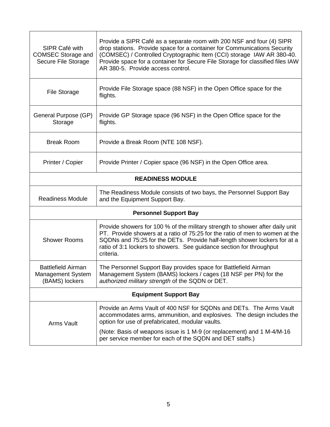| SIPR Café with<br><b>COMSEC Storage and</b><br>Secure File Storage      | Provide a SIPR Café as a separate room with 200 NSF and four (4) SIPR<br>drop stations. Provide space for a container for Communications Security<br>(COMSEC) / Controlled Cryptographic Item (CCI) storage IAW AR 380-40.<br>Provide space for a container for Secure File Storage for classified files IAW<br>AR 380-5. Provide access control. |  |
|-------------------------------------------------------------------------|---------------------------------------------------------------------------------------------------------------------------------------------------------------------------------------------------------------------------------------------------------------------------------------------------------------------------------------------------|--|
| <b>File Storage</b>                                                     | Provide File Storage space (88 NSF) in the Open Office space for the<br>flights.                                                                                                                                                                                                                                                                  |  |
| General Purpose (GP)<br>Storage                                         | Provide GP Storage space (96 NSF) in the Open Office space for the<br>flights.                                                                                                                                                                                                                                                                    |  |
| <b>Break Room</b>                                                       | Provide a Break Room (NTE 108 NSF).                                                                                                                                                                                                                                                                                                               |  |
| Printer / Copier                                                        | Provide Printer / Copier space (96 NSF) in the Open Office area.                                                                                                                                                                                                                                                                                  |  |
| <b>READINESS MODULE</b>                                                 |                                                                                                                                                                                                                                                                                                                                                   |  |
| <b>Readiness Module</b>                                                 | The Readiness Module consists of two bays, the Personnel Support Bay<br>and the Equipment Support Bay.                                                                                                                                                                                                                                            |  |
|                                                                         | <b>Personnel Support Bay</b>                                                                                                                                                                                                                                                                                                                      |  |
| <b>Shower Rooms</b>                                                     | Provide showers for 100 % of the military strength to shower after daily unit<br>PT. Provide showers at a ratio of 75:25 for the ratio of men to women at the<br>SQDNs and 75:25 for the DETs. Provide half-length shower lockers for at a<br>ratio of 3:1 lockers to showers. See guidance section for throughput<br>criteria.                   |  |
| <b>Battlefield Airman</b><br><b>Management System</b><br>(BAMS) lockers | The Personnel Support Bay provides space for Battlefield Airman<br>Management System (BAMS) lockers / cages (18 NSF per PN) for the<br>authorized military strength of the SQDN or DET.                                                                                                                                                           |  |
| <b>Equipment Support Bay</b>                                            |                                                                                                                                                                                                                                                                                                                                                   |  |
| <b>Arms Vault</b>                                                       | Provide an Arms Vault of 400 NSF for SQDNs and DETs. The Arms Vault<br>accommodates arms, ammunition, and explosives. The design includes the<br>option for use of prefabricated, modular vaults.                                                                                                                                                 |  |
|                                                                         | (Note: Basis of weapons issue is 1 M-9 (or replacement) and 1 M-4/M-16<br>per service member for each of the SQDN and DET staffs.)                                                                                                                                                                                                                |  |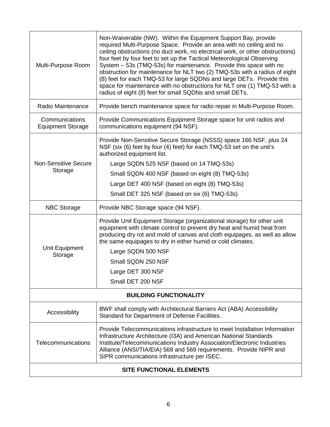| Multi-Purpose Room                         | Non-Waiverable (NW). Within the Equipment Support Bay, provide<br>required Multi-Purpose Space. Provide an area with no ceiling and no<br>ceiling obstructions (no duct work, no electrical work, or other obstructions)<br>four feet by four feet to set up the Tactical Meteorological Observing<br>System - 53s (TMQ-53s) for maintenance. Provide this space with no<br>obstruction for maintenance for NLT two (2) TMQ-53s with a radius of eight<br>(8) feet for each TMQ-53 for large SQDNs and large DETs. Provide this<br>space for maintenance with no obstructions for NLT one (1) TMQ-53 with a<br>radius of eight (8) feet for small SQDNs and small DETs. |  |  |
|--------------------------------------------|-------------------------------------------------------------------------------------------------------------------------------------------------------------------------------------------------------------------------------------------------------------------------------------------------------------------------------------------------------------------------------------------------------------------------------------------------------------------------------------------------------------------------------------------------------------------------------------------------------------------------------------------------------------------------|--|--|
| Radio Maintenance                          | Provide bench maintenance space for radio repair in Multi-Purpose Room.                                                                                                                                                                                                                                                                                                                                                                                                                                                                                                                                                                                                 |  |  |
| Communications<br><b>Equipment Storage</b> | Provide Communications Equipment Storage space for unit radios and<br>communications equipment (94 NSF).                                                                                                                                                                                                                                                                                                                                                                                                                                                                                                                                                                |  |  |
|                                            | Provide Non-Sensitive Secure Storage (NSSS) space 166 NSF, plus 24<br>NSF (six (6) feet by four (4) feet) for each TMQ-53 set on the unit's<br>authorized equipment list.                                                                                                                                                                                                                                                                                                                                                                                                                                                                                               |  |  |
| <b>Non-Sensitive Secure</b>                | Large SQDN 525 NSF (based on 14 TMQ-53s)                                                                                                                                                                                                                                                                                                                                                                                                                                                                                                                                                                                                                                |  |  |
| Storage                                    | Small SQDN 400 NSF (based on eight (8) TMQ-53s)                                                                                                                                                                                                                                                                                                                                                                                                                                                                                                                                                                                                                         |  |  |
|                                            | Large DET 400 NSF (based on eight (8) TMQ-53s)                                                                                                                                                                                                                                                                                                                                                                                                                                                                                                                                                                                                                          |  |  |
|                                            | Small DET 325 NSF (based on six (6) TMQ-53s)                                                                                                                                                                                                                                                                                                                                                                                                                                                                                                                                                                                                                            |  |  |
| <b>NBC Storage</b>                         | Provide NBC Storage space (94 NSF).                                                                                                                                                                                                                                                                                                                                                                                                                                                                                                                                                                                                                                     |  |  |
|                                            | Provide Unit Equipment Storage (organizational storage) for other unit<br>equipment with climate control to prevent dry heat and humid heat from<br>producing dry rot and mold of canvas and cloth equipages, as well as allow<br>the same equipages to dry in either humid or cold climates.                                                                                                                                                                                                                                                                                                                                                                           |  |  |
| Unit Equipment<br>Storage                  | Large SQDN 500 NSF                                                                                                                                                                                                                                                                                                                                                                                                                                                                                                                                                                                                                                                      |  |  |
|                                            | Small SQDN 250 NSF                                                                                                                                                                                                                                                                                                                                                                                                                                                                                                                                                                                                                                                      |  |  |
|                                            | Large DET 300 NSF                                                                                                                                                                                                                                                                                                                                                                                                                                                                                                                                                                                                                                                       |  |  |
|                                            | Small DET 200 NSF                                                                                                                                                                                                                                                                                                                                                                                                                                                                                                                                                                                                                                                       |  |  |
| <b>BUILDING FUNCTIONALITY</b>              |                                                                                                                                                                                                                                                                                                                                                                                                                                                                                                                                                                                                                                                                         |  |  |
| Accessibility                              | BWF shall comply with Architectural Barriers Act (ABA) Accessibility<br>Standard for Department of Defense Facilities.                                                                                                                                                                                                                                                                                                                                                                                                                                                                                                                                                  |  |  |
| Telecommunications                         | Provide Telecommunications infrastructure to meet Installation Information<br>Infrastructure Architecture (I3A) and American National Standards<br>Institute/Telecommunications Industry Association/Electronic Industries<br>Alliance (ANSI/TIA/EIA) 568 and 569 requirements. Provide NIPR and<br>SIPR communications infrastructure per ISEC.                                                                                                                                                                                                                                                                                                                        |  |  |
| <b>SITE FUNCTIONAL ELEMENTS</b>            |                                                                                                                                                                                                                                                                                                                                                                                                                                                                                                                                                                                                                                                                         |  |  |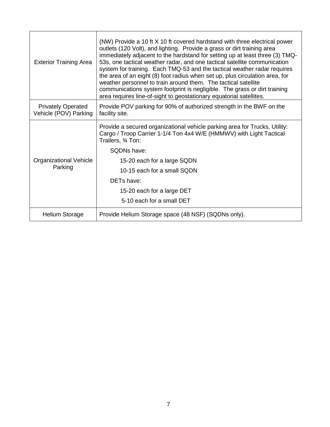| <b>Exterior Training Area</b>                      | (NW) Provide a 10 ft X 10 ft covered hardstand with three electrical power<br>outlets (120 Volt), and lighting. Provide a grass or dirt training area<br>immediately adjacent to the hardstand for setting up at least three (3) TMQ-<br>53s, one tactical weather radar, and one tactical satellite communication<br>system for training. Each TMQ-53 and the tactical weather radar requires<br>the area of an eight (8) foot radius when set up, plus circulation area, for<br>weather personnel to train around them. The tactical satellite<br>communications system footprint is negligible. The grass or dirt training<br>area requires line-of-sight to geostationary equatorial satellites. |
|----------------------------------------------------|------------------------------------------------------------------------------------------------------------------------------------------------------------------------------------------------------------------------------------------------------------------------------------------------------------------------------------------------------------------------------------------------------------------------------------------------------------------------------------------------------------------------------------------------------------------------------------------------------------------------------------------------------------------------------------------------------|
| <b>Privately Operated</b><br>Vehicle (POV) Parking | Provide POV parking for 90% of authorized strength in the BWF on the<br>facility site.                                                                                                                                                                                                                                                                                                                                                                                                                                                                                                                                                                                                               |
| <b>Organizational Vehicle</b><br>Parking           | Provide a secured organizational vehicle parking area for Trucks, Utility:<br>Cargo / Troop Carrier 1-1/4 Ton 4x4 W/E (HMMWV) with Light Tactical<br>Trailers, 3⁄4 Ton:                                                                                                                                                                                                                                                                                                                                                                                                                                                                                                                              |
|                                                    | SQDNs have:                                                                                                                                                                                                                                                                                                                                                                                                                                                                                                                                                                                                                                                                                          |
|                                                    | 15-20 each for a large SQDN                                                                                                                                                                                                                                                                                                                                                                                                                                                                                                                                                                                                                                                                          |
|                                                    | 10-15 each for a small SQDN                                                                                                                                                                                                                                                                                                                                                                                                                                                                                                                                                                                                                                                                          |
|                                                    | <b>DETs have:</b>                                                                                                                                                                                                                                                                                                                                                                                                                                                                                                                                                                                                                                                                                    |
|                                                    | 15-20 each for a large DET                                                                                                                                                                                                                                                                                                                                                                                                                                                                                                                                                                                                                                                                           |
|                                                    | 5-10 each for a small DET                                                                                                                                                                                                                                                                                                                                                                                                                                                                                                                                                                                                                                                                            |
| <b>Helium Storage</b>                              | Provide Helium Storage space (48 NSF) (SQDNs only).                                                                                                                                                                                                                                                                                                                                                                                                                                                                                                                                                                                                                                                  |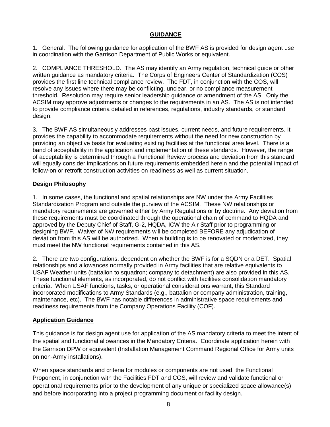#### **GUIDANCE**

1. General. The following guidance for application of the BWF AS is provided for design agent use in coordination with the Garrison Department of Public Works or equivalent.

2. COMPLIANCE THRESHOLD. The AS may identify an Army regulation, technical guide or other written guidance as mandatory criteria. The Corps of Engineers Center of Standardization (COS) provides the first line technical compliance review. The FDT, in conjunction with the COS, will resolve any issues where there may be conflicting, unclear, or no compliance measurement threshold. Resolution may require senior leadership guidance or amendment of the AS. Only the ACSIM may approve adjustments or changes to the requirements in an AS. The AS is not intended to provide compliance criteria detailed in references, regulations, industry standards, or standard design.

3. The BWF AS simultaneously addresses past issues, current needs, and future requirements. It provides the capability to accommodate requirements without the need for new construction by providing an objective basis for evaluating existing facilities at the functional area level. There is a band of acceptability in the application and implementation of these standards. However, the range of acceptability is determined through a Functional Review process and deviation from this standard will equally consider implications on future requirements embedded herein and the potential impact of follow-on or retrofit construction activities on readiness as well as current situation.

### **Design Philosophy**

1. In some cases, the functional and spatial relationships are NW under the Army Facilities Standardization Program and outside the purview of the ACSIM. These NW relationships or mandatory requirements are governed either by Army Regulations or by doctrine. Any deviation from these requirements must be coordinated through the operational chain of command to HQDA and approved by the Deputy Chief of Staff, G-2, HQDA, ICW the Air Staff prior to programming or designing BWF. Waiver of NW requirements will be completed BEFORE any adjudication of deviation from this AS will be authorized. When a building is to be renovated or modernized, they must meet the NW functional requirements contained in this AS.

2. There are two configurations, dependent on whether the BWF is for a SQDN or a DET. Spatial relationships and allowances normally provided in Army facilities that are relative equivalents to USAF Weather units (battalion to squadron; company to detachment) are also provided in this AS. These functional elements, as incorporated, do not conflict with facilities consolidation mandatory criteria. When USAF functions, tasks, or operational considerations warrant, this Standard incorporated modifications to Army Standards (e.g., battalion or company administration, training, maintenance, etc). The BWF has notable differences in administrative space requirements and readiness requirements from the Company Operations Facility (COF).

### **Application Guidance**

This guidance is for design agent use for application of the AS mandatory criteria to meet the intent of the spatial and functional allowances in the Mandatory Criteria. Coordinate application herein with the Garrison DPW or equivalent (Installation Management Command Regional Office for Army units on non-Army installations).

When space standards and criteria for modules or components are not used, the Functional Proponent, in conjunction with the Facilities FDT and COS, will review and validate functional or operational requirements prior to the development of any unique or specialized space allowance(s) and before incorporating into a project programming document or facility design.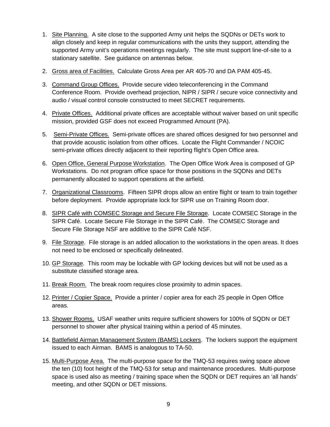- 1. Site Planning. A site close to the supported Army unit helps the SQDNs or DETs work to align closely and keep in regular communications with the units they support, attending the supported Army unit's operations meetings regularly. The site must support line-of-site to a stationary satellite. See guidance on antennas below.
- 2. Gross area of Facilities. Calculate Gross Area per AR 405-70 and DA PAM 405-45.
- 3. Command Group Offices. Provide secure video teleconferencing in the Command Conference Room. Provide overhead projection, NIPR / SIPR / secure voice connectivity and audio / visual control console constructed to meet SECRET requirements.
- 4. Private Offices. Additional private offices are acceptable without waiver based on unit specific mission, provided GSF does not exceed Programmed Amount (PA).
- 5. Semi-Private Offices. Semi-private offices are shared offices designed for two personnel and that provide acoustic isolation from other offices. Locate the Flight Commander / NCOIC semi-private offices directly adjacent to their reporting flight's Open Office area.
- 6. Open Office, General Purpose Workstation. The Open Office Work Area is composed of GP Workstations. Do not program office space for those positions in the SQDNs and DETs permanently allocated to support operations at the airfield.
- 7. Organizational Classrooms. Fifteen SIPR drops allow an entire flight or team to train together before deployment. Provide appropriate lock for SIPR use on Training Room door.
- 8. SIPR Café with COMSEC Storage and Secure File Storage. Locate COMSEC Storage in the SIPR Café. Locate Secure File Storage in the SIPR Café. The COMSEC Storage and Secure File Storage NSF are additive to the SIPR Café NSF.
- 9. File Storage. File storage is an added allocation to the workstations in the open areas. It does not need to be enclosed or specifically delineated.
- 10. GP Storage. This room may be lockable with GP locking devices but will not be used as a substitute classified storage area.
- 11. Break Room. The break room requires close proximity to admin spaces.
- 12. Printer / Copier Space. Provide a printer / copier area for each 25 people in Open Office areas.
- 13. Shower Rooms. USAF weather units require sufficient showers for 100% of SQDN or DET personnel to shower after physical training within a period of 45 minutes.
- 14. Battlefield Airman Management System (BAMS) Lockers. The lockers support the equipment issued to each Airman. BAMS is analogous to TA-50.
- 15. Multi-Purpose Area. The multi-purpose space for the TMQ-53 requires swing space above the ten (10) foot height of the TMQ-53 for setup and maintenance procedures. Multi-purpose space is used also as meeting / training space when the SQDN or DET requires an 'all hands' meeting, and other SQDN or DET missions.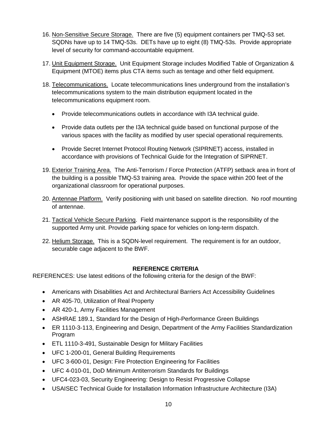- 16. Non-Sensitive Secure Storage. There are five (5) equipment containers per TMQ-53 set. SQDNs have up to 14 TMQ-53s. DETs have up to eight (8) TMQ-53s. Provide appropriate level of security for command-accountable equipment.
- 17. Unit Equipment Storage. Unit Equipment Storage includes Modified Table of Organization & Equipment (MTOE) items plus CTA items such as tentage and other field equipment.
- 18. Telecommunications. Locate telecommunications lines underground from the installation's telecommunications system to the main distribution equipment located in the telecommunications equipment room.
	- Provide telecommunications outlets in accordance with I3A technical guide.
	- Provide data outlets per the I3A technical guide based on functional purpose of the various spaces with the facility as modified by user special operational requirements.
	- Provide Secret Internet Protocol Routing Network (SIPRNET) access, installed in accordance with provisions of Technical Guide for the Integration of SIPRNET.
- 19. Exterior Training Area. The Anti-Terrorism / Force Protection (ATFP) setback area in front of the building is a possible TMQ-53 training area. Provide the space within 200 feet of the organizational classroom for operational purposes.
- 20. Antennae Platform. Verify positioning with unit based on satellite direction. No roof mounting of antennae.
- 21. Tactical Vehicle Secure Parking. Field maintenance support is the responsibility of the supported Army unit. Provide parking space for vehicles on long-term dispatch.
- 22. Helium Storage. This is a SQDN-level requirement. The requirement is for an outdoor, securable cage adjacent to the BWF.

### **REFERENCE CRITERIA**

REFERENCES: Use latest editions of the following criteria for the design of the BWF:

- Americans with Disabilities Act and Architectural Barriers Act Accessibility Guidelines
- AR 405-70, Utilization of Real Property
- AR 420-1, Army Facilities Management
- ASHRAE 189.1, Standard for the Design of High-Performance Green Buildings
- ER 1110-3-113, Engineering and Design, Department of the Army Facilities Standardization Program
- ETL 1110-3-491, Sustainable Design for Military Facilities
- UFC 1-200-01, General Building Requirements
- UFC 3-600-01, Design: Fire Protection Engineering for Facilities
- UFC 4-010-01, DoD Minimum Antiterrorism Standards for Buildings
- UFC4-023-03, Security Engineering: Design to Resist Progressive Collapse
- USAISEC Technical Guide for Installation Information Infrastructure Architecture (I3A)